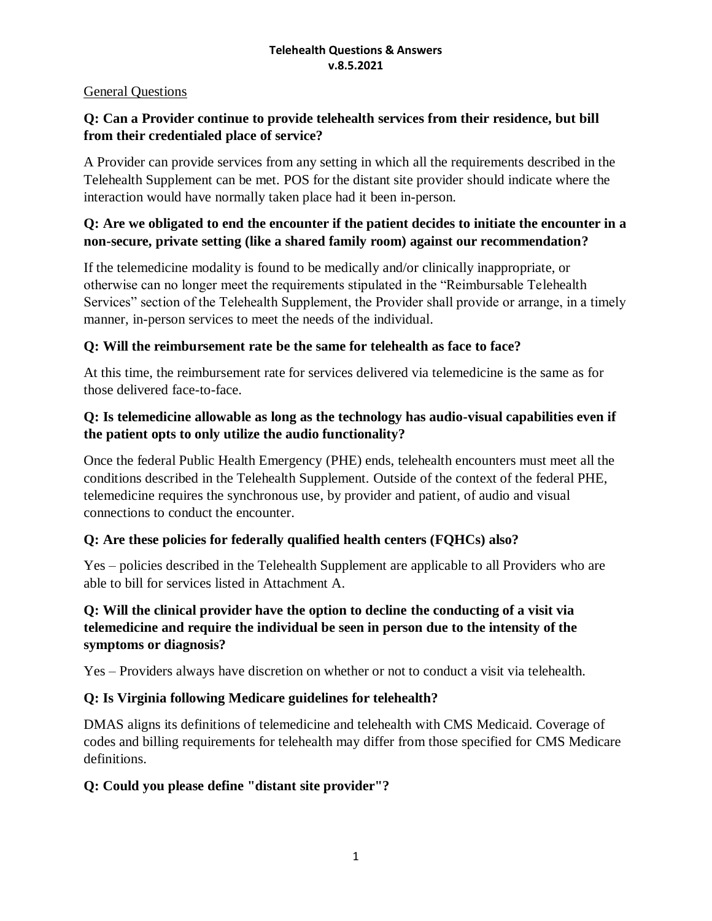#### General Questions

#### **Q: Can a Provider continue to provide telehealth services from their residence, but bill from their credentialed place of service?**

A Provider can provide services from any setting in which all the requirements described in the Telehealth Supplement can be met. POS for the distant site provider should indicate where the interaction would have normally taken place had it been in-person.

#### **Q: Are we obligated to end the encounter if the patient decides to initiate the encounter in a non-secure, private setting (like a shared family room) against our recommendation?**

If the telemedicine modality is found to be medically and/or clinically inappropriate, or otherwise can no longer meet the requirements stipulated in the "Reimbursable Telehealth Services" section of the Telehealth Supplement, the Provider shall provide or arrange, in a timely manner, in-person services to meet the needs of the individual.

#### **Q: Will the reimbursement rate be the same for telehealth as face to face?**

At this time, the reimbursement rate for services delivered via telemedicine is the same as for those delivered face-to-face.

#### **Q: Is telemedicine allowable as long as the technology has audio-visual capabilities even if the patient opts to only utilize the audio functionality?**

Once the federal Public Health Emergency (PHE) ends, telehealth encounters must meet all the conditions described in the Telehealth Supplement. Outside of the context of the federal PHE, telemedicine requires the synchronous use, by provider and patient, of audio and visual connections to conduct the encounter.

#### **Q: Are these policies for federally qualified health centers (FQHCs) also?**

Yes – policies described in the Telehealth Supplement are applicable to all Providers who are able to bill for services listed in Attachment A.

## **Q: Will the clinical provider have the option to decline the conducting of a visit via telemedicine and require the individual be seen in person due to the intensity of the symptoms or diagnosis?**

Yes – Providers always have discretion on whether or not to conduct a visit via telehealth.

#### **Q: Is Virginia following Medicare guidelines for telehealth?**

DMAS aligns its definitions of telemedicine and telehealth with CMS Medicaid. Coverage of codes and billing requirements for telehealth may differ from those specified for CMS Medicare definitions.

#### **Q: Could you please define "distant site provider"?**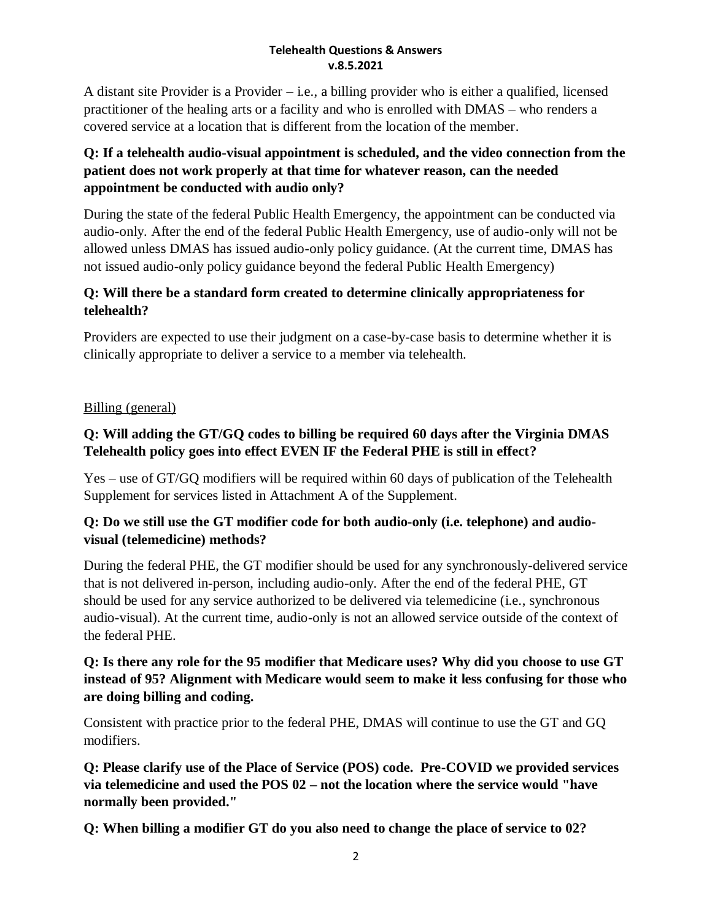A distant site Provider is a Provider – i.e., a billing provider who is either a qualified, licensed practitioner of the healing arts or a facility and who is enrolled with DMAS – who renders a covered service at a location that is different from the location of the member.

# **Q: If a telehealth audio-visual appointment is scheduled, and the video connection from the patient does not work properly at that time for whatever reason, can the needed appointment be conducted with audio only?**

During the state of the federal Public Health Emergency, the appointment can be conducted via audio-only. After the end of the federal Public Health Emergency, use of audio-only will not be allowed unless DMAS has issued audio-only policy guidance. (At the current time, DMAS has not issued audio-only policy guidance beyond the federal Public Health Emergency)

# **Q: Will there be a standard form created to determine clinically appropriateness for telehealth?**

Providers are expected to use their judgment on a case-by-case basis to determine whether it is clinically appropriate to deliver a service to a member via telehealth.

# Billing (general)

# **Q: Will adding the GT/GQ codes to billing be required 60 days after the Virginia DMAS Telehealth policy goes into effect EVEN IF the Federal PHE is still in effect?**

Yes – use of GT/GQ modifiers will be required within 60 days of publication of the Telehealth Supplement for services listed in Attachment A of the Supplement.

# **Q: Do we still use the GT modifier code for both audio-only (i.e. telephone) and audiovisual (telemedicine) methods?**

During the federal PHE, the GT modifier should be used for any synchronously-delivered service that is not delivered in-person, including audio-only. After the end of the federal PHE, GT should be used for any service authorized to be delivered via telemedicine (i.e., synchronous audio-visual). At the current time, audio-only is not an allowed service outside of the context of the federal PHE.

#### **Q: Is there any role for the 95 modifier that Medicare uses? Why did you choose to use GT instead of 95? Alignment with Medicare would seem to make it less confusing for those who are doing billing and coding.**

Consistent with practice prior to the federal PHE, DMAS will continue to use the GT and GQ modifiers.

**Q: Please clarify use of the Place of Service (POS) code. Pre-COVID we provided services via telemedicine and used the POS 02 – not the location where the service would "have normally been provided."** 

**Q: When billing a modifier GT do you also need to change the place of service to 02?**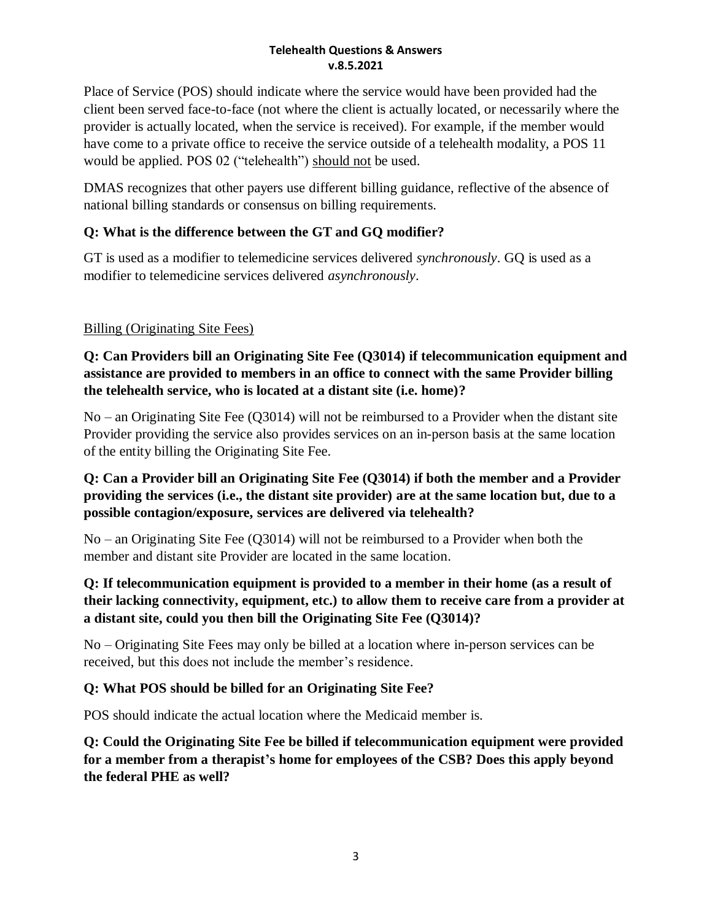Place of Service (POS) should indicate where the service would have been provided had the client been served face-to-face (not where the client is actually located, or necessarily where the provider is actually located, when the service is received). For example, if the member would have come to a private office to receive the service outside of a telehealth modality, a POS 11 would be applied. POS 02 ("telehealth") should not be used.

DMAS recognizes that other payers use different billing guidance, reflective of the absence of national billing standards or consensus on billing requirements.

# **Q: What is the difference between the GT and GQ modifier?**

GT is used as a modifier to telemedicine services delivered *synchronously*. GQ is used as a modifier to telemedicine services delivered *asynchronously*.

# Billing (Originating Site Fees)

## **Q: Can Providers bill an Originating Site Fee (Q3014) if telecommunication equipment and assistance are provided to members in an office to connect with the same Provider billing the telehealth service, who is located at a distant site (i.e. home)?**

No – an Originating Site Fee (Q3014) will not be reimbursed to a Provider when the distant site Provider providing the service also provides services on an in-person basis at the same location of the entity billing the Originating Site Fee.

## **Q: Can a Provider bill an Originating Site Fee (Q3014) if both the member and a Provider providing the services (i.e., the distant site provider) are at the same location but, due to a possible contagion/exposure, services are delivered via telehealth?**

No – an Originating Site Fee (Q3014) will not be reimbursed to a Provider when both the member and distant site Provider are located in the same location.

## **Q: If telecommunication equipment is provided to a member in their home (as a result of their lacking connectivity, equipment, etc.) to allow them to receive care from a provider at a distant site, could you then bill the Originating Site Fee (Q3014)?**

No – Originating Site Fees may only be billed at a location where in-person services can be received, but this does not include the member's residence.

## **Q: What POS should be billed for an Originating Site Fee?**

POS should indicate the actual location where the Medicaid member is.

**Q: Could the Originating Site Fee be billed if telecommunication equipment were provided for a member from a therapist's home for employees of the CSB? Does this apply beyond the federal PHE as well?**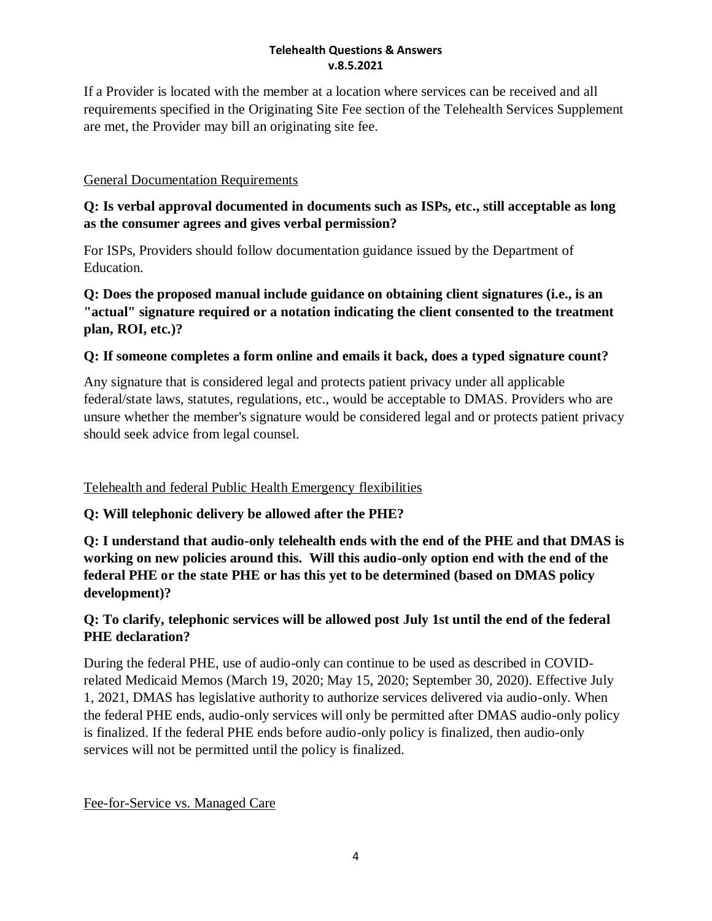If a Provider is located with the member at a location where services can be received and all requirements specified in the Originating Site Fee section of the Telehealth Services Supplement are met, the Provider may bill an originating site fee.

## General Documentation Requirements

## **Q: Is verbal approval documented in documents such as ISPs, etc., still acceptable as long as the consumer agrees and gives verbal permission?**

For ISPs, Providers should follow documentation guidance issued by the Department of Education.

## **Q: Does the proposed manual include guidance on obtaining client signatures (i.e., is an "actual" signature required or a notation indicating the client consented to the treatment plan, ROI, etc.)?**

## **Q: If someone completes a form online and emails it back, does a typed signature count?**

Any signature that is considered legal and protects patient privacy under all applicable federal/state laws, statutes, regulations, etc., would be acceptable to DMAS. Providers who are unsure whether the member's signature would be considered legal and or protects patient privacy should seek advice from legal counsel.

#### Telehealth and federal Public Health Emergency flexibilities

## **Q: Will telephonic delivery be allowed after the PHE?**

**Q: I understand that audio-only telehealth ends with the end of the PHE and that DMAS is working on new policies around this. Will this audio-only option end with the end of the federal PHE or the state PHE or has this yet to be determined (based on DMAS policy development)?**

## **Q: To clarify, telephonic services will be allowed post July 1st until the end of the federal PHE declaration?**

During the federal PHE, use of audio-only can continue to be used as described in COVIDrelated Medicaid Memos (March 19, 2020; May 15, 2020; September 30, 2020). Effective July 1, 2021, DMAS has legislative authority to authorize services delivered via audio-only. When the federal PHE ends, audio-only services will only be permitted after DMAS audio-only policy is finalized. If the federal PHE ends before audio-only policy is finalized, then audio-only services will not be permitted until the policy is finalized.

#### Fee-for-Service vs. Managed Care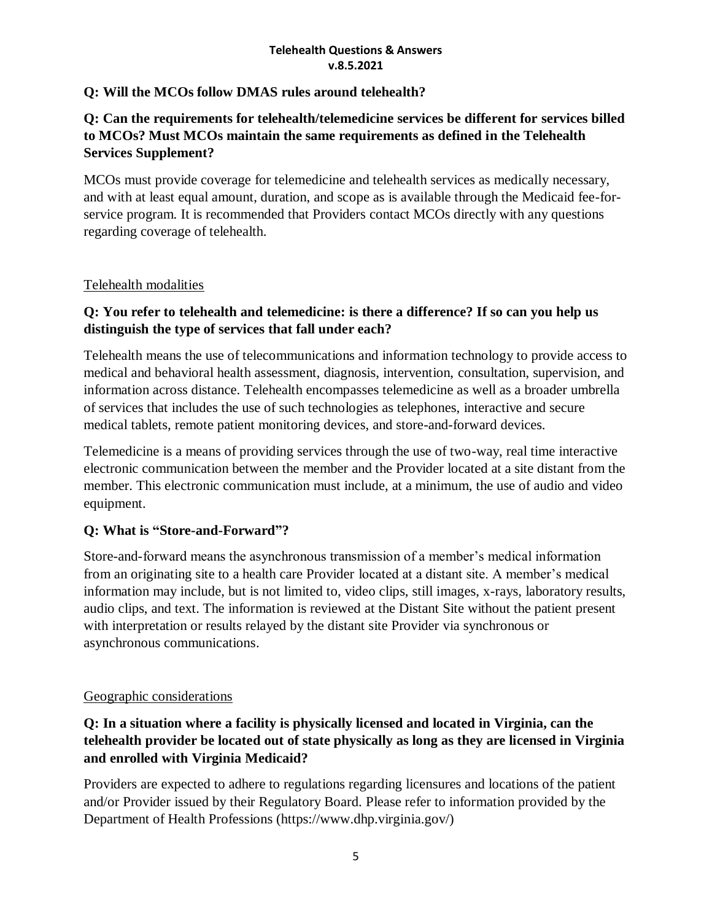#### **Q: Will the MCOs follow DMAS rules around telehealth?**

## **Q: Can the requirements for telehealth/telemedicine services be different for services billed to MCOs? Must MCOs maintain the same requirements as defined in the Telehealth Services Supplement?**

MCOs must provide coverage for telemedicine and telehealth services as medically necessary, and with at least equal amount, duration, and scope as is available through the Medicaid fee-forservice program. It is recommended that Providers contact MCOs directly with any questions regarding coverage of telehealth.

#### Telehealth modalities

# **Q: You refer to telehealth and telemedicine: is there a difference? If so can you help us distinguish the type of services that fall under each?**

Telehealth means the use of telecommunications and information technology to provide access to medical and behavioral health assessment, diagnosis, intervention, consultation, supervision, and information across distance. Telehealth encompasses telemedicine as well as a broader umbrella of services that includes the use of such technologies as telephones, interactive and secure medical tablets, remote patient monitoring devices, and store-and-forward devices.

Telemedicine is a means of providing services through the use of two-way, real time interactive electronic communication between the member and the Provider located at a site distant from the member. This electronic communication must include, at a minimum, the use of audio and video equipment.

## **Q: What is "Store-and-Forward"?**

Store-and-forward means the asynchronous transmission of a member's medical information from an originating site to a health care Provider located at a distant site. A member's medical information may include, but is not limited to, video clips, still images, x-rays, laboratory results, audio clips, and text. The information is reviewed at the Distant Site without the patient present with interpretation or results relayed by the distant site Provider via synchronous or asynchronous communications.

#### Geographic considerations

## **Q: In a situation where a facility is physically licensed and located in Virginia, can the telehealth provider be located out of state physically as long as they are licensed in Virginia and enrolled with Virginia Medicaid?**

Providers are expected to adhere to regulations regarding licensures and locations of the patient and/or Provider issued by their Regulatory Board. Please refer to information provided by the Department of Health Professions (https://www.dhp.virginia.gov/)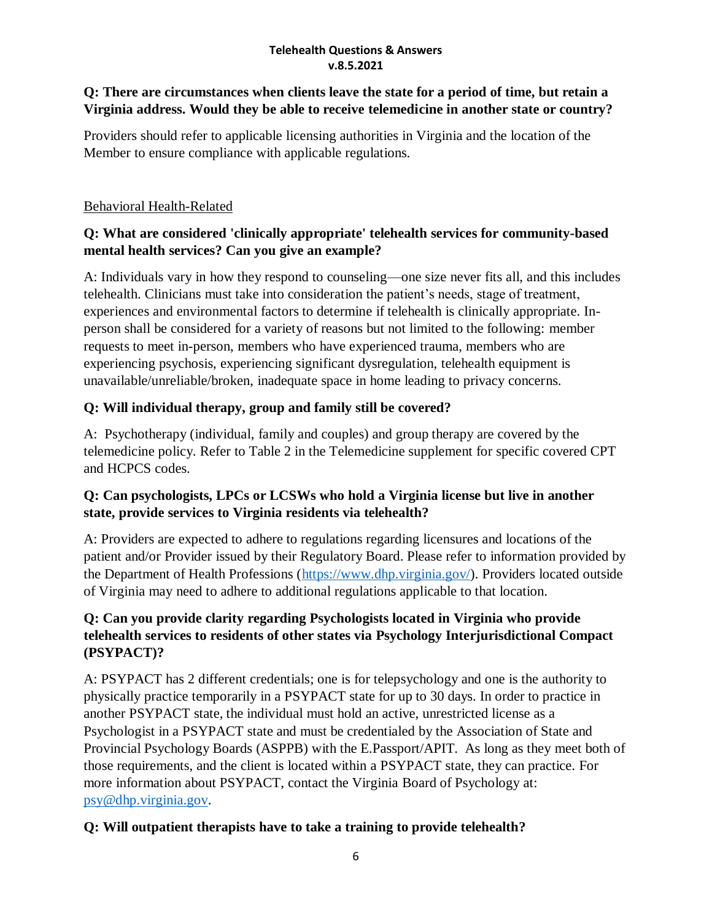## **Q: There are circumstances when clients leave the state for a period of time, but retain a Virginia address. Would they be able to receive telemedicine in another state or country?**

Providers should refer to applicable licensing authorities in Virginia and the location of the Member to ensure compliance with applicable regulations.

#### Behavioral Health-Related

# **Q: What are considered 'clinically appropriate' telehealth services for community-based mental health services? Can you give an example?**

A: Individuals vary in how they respond to counseling—one size never fits all, and this includes telehealth. Clinicians must take into consideration the patient's needs, stage of treatment, experiences and environmental factors to determine if telehealth is clinically appropriate. Inperson shall be considered for a variety of reasons but not limited to the following: member requests to meet in-person, members who have experienced trauma, members who are experiencing psychosis, experiencing significant dysregulation, telehealth equipment is unavailable/unreliable/broken, inadequate space in home leading to privacy concerns.

## **Q: Will individual therapy, group and family still be covered?**

A: Psychotherapy (individual, family and couples) and group therapy are covered by the telemedicine policy. Refer to Table 2 in the Telemedicine supplement for specific covered CPT and HCPCS codes.

#### **Q: Can psychologists, LPCs or LCSWs who hold a Virginia license but live in another state, provide services to Virginia residents via telehealth?**

A: Providers are expected to adhere to regulations regarding licensures and locations of the patient and/or Provider issued by their Regulatory Board. Please refer to information provided by the Department of Health Professions [\(https://www.dhp.virginia.gov/\)](https://www.dhp.virginia.gov/). Providers located outside of Virginia may need to adhere to additional regulations applicable to that location.

# **Q: Can you provide clarity regarding Psychologists located in Virginia who provide telehealth services to residents of other states via Psychology Interjurisdictional Compact (PSYPACT)?**

A: PSYPACT has 2 different credentials; one is for telepsychology and one is the authority to physically practice temporarily in a PSYPACT state for up to 30 days. In order to practice in another PSYPACT state, the individual must hold an active, unrestricted license as a Psychologist in a PSYPACT state and must be credentialed by the Association of State and Provincial Psychology Boards (ASPPB) with the E.Passport/APIT. As long as they meet both of those requirements, and the client is located within a PSYPACT state, they can practice. For more information about PSYPACT, contact the Virginia Board of Psychology at: [psy@dhp.virginia.gov.](mailto:psy@dhp.virginia.gov)

## **Q: Will outpatient therapists have to take a training to provide telehealth?**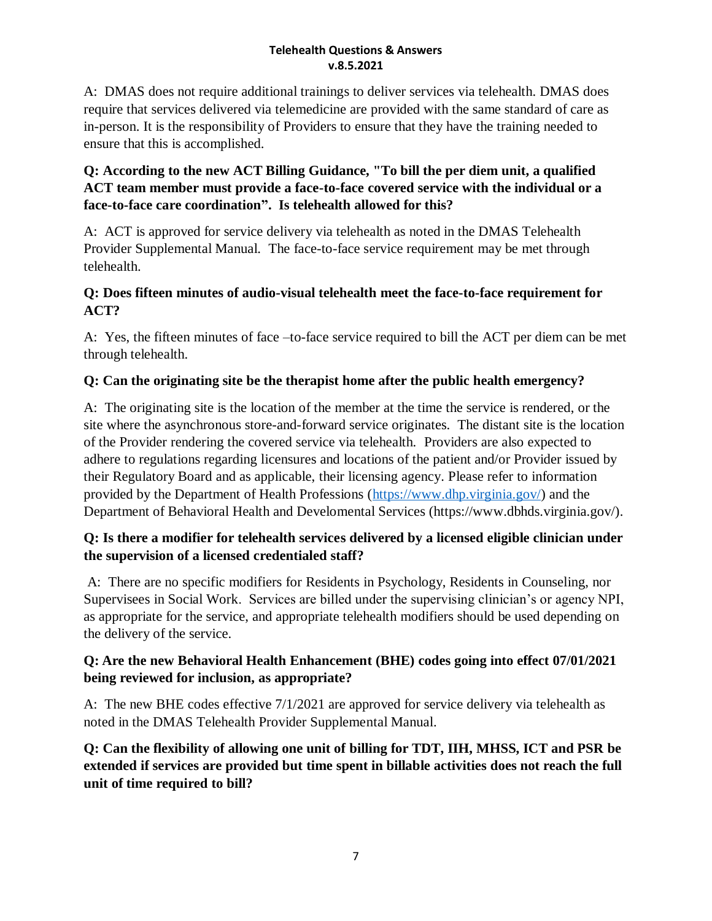A: DMAS does not require additional trainings to deliver services via telehealth. DMAS does require that services delivered via telemedicine are provided with the same standard of care as in-person. It is the responsibility of Providers to ensure that they have the training needed to ensure that this is accomplished.

# **Q: According to the new ACT Billing Guidance, "To bill the per diem unit, a qualified ACT team member must provide a face-to-face covered service with the individual or a face-to-face care coordination". Is telehealth allowed for this?**

A: ACT is approved for service delivery via telehealth as noted in the DMAS Telehealth Provider Supplemental Manual. The face-to-face service requirement may be met through telehealth.

## **Q: Does fifteen minutes of audio-visual telehealth meet the face-to-face requirement for ACT?**

A: Yes, the fifteen minutes of face –to-face service required to bill the ACT per diem can be met through telehealth.

# **Q: Can the originating site be the therapist home after the public health emergency?**

A: The originating site is the location of the member at the time the service is rendered, or the site where the asynchronous store-and-forward service originates. The distant site is the location of the Provider rendering the covered service via telehealth. Providers are also expected to adhere to regulations regarding licensures and locations of the patient and/or Provider issued by their Regulatory Board and as applicable, their licensing agency. Please refer to information provided by the Department of Health Professions [\(https://www.dhp.virginia.gov/\)](https://www.dhp.virginia.gov/) and the Department of Behavioral Health and Develomental Services (https://www.dbhds.virginia.gov/).

## **Q: Is there a modifier for telehealth services delivered by a licensed eligible clinician under the supervision of a licensed credentialed staff?**

A: There are no specific modifiers for Residents in Psychology, Residents in Counseling, nor Supervisees in Social Work. Services are billed under the supervising clinician's or agency NPI, as appropriate for the service, and appropriate telehealth modifiers should be used depending on the delivery of the service.

## **Q: Are the new Behavioral Health Enhancement (BHE) codes going into effect 07/01/2021 being reviewed for inclusion, as appropriate?**

A: The new BHE codes effective 7/1/2021 are approved for service delivery via telehealth as noted in the DMAS Telehealth Provider Supplemental Manual.

**Q: Can the flexibility of allowing one unit of billing for TDT, IIH, MHSS, ICT and PSR be extended if services are provided but time spent in billable activities does not reach the full unit of time required to bill?**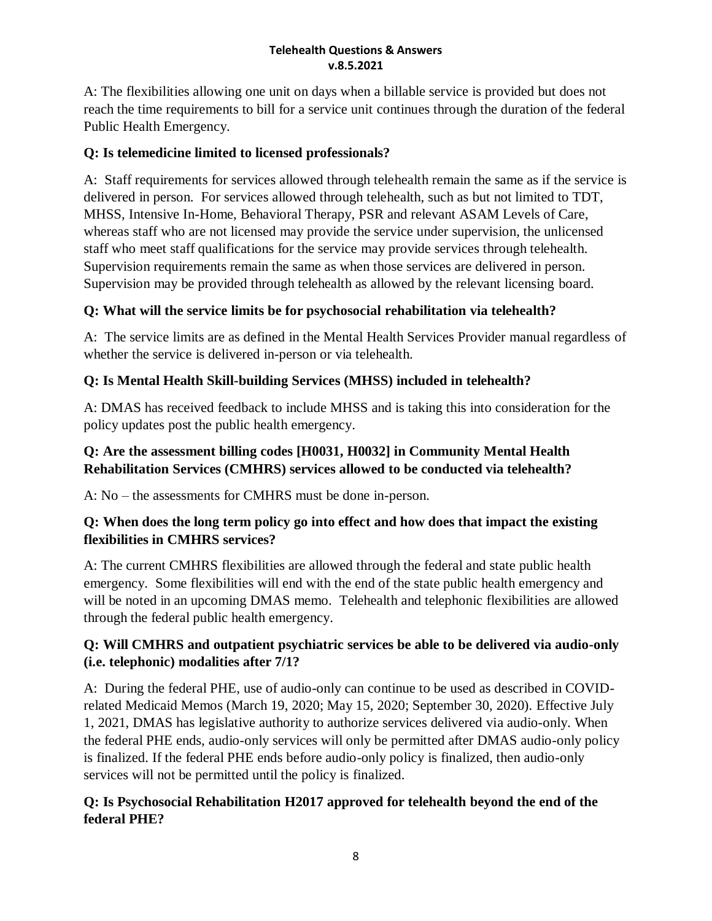A: The flexibilities allowing one unit on days when a billable service is provided but does not reach the time requirements to bill for a service unit continues through the duration of the federal Public Health Emergency.

# **Q: Is telemedicine limited to licensed professionals?**

A: Staff requirements for services allowed through telehealth remain the same as if the service is delivered in person. For services allowed through telehealth, such as but not limited to TDT, MHSS, Intensive In-Home, Behavioral Therapy, PSR and relevant ASAM Levels of Care, whereas staff who are not licensed may provide the service under supervision, the unlicensed staff who meet staff qualifications for the service may provide services through telehealth. Supervision requirements remain the same as when those services are delivered in person. Supervision may be provided through telehealth as allowed by the relevant licensing board.

# **Q: What will the service limits be for psychosocial rehabilitation via telehealth?**

A: The service limits are as defined in the Mental Health Services Provider manual regardless of whether the service is delivered in-person or via telehealth.

# **Q: Is Mental Health Skill-building Services (MHSS) included in telehealth?**

A: DMAS has received feedback to include MHSS and is taking this into consideration for the policy updates post the public health emergency.

#### **Q: Are the assessment billing codes [H0031, H0032] in Community Mental Health Rehabilitation Services (CMHRS) services allowed to be conducted via telehealth?**

A: No – the assessments for CMHRS must be done in-person.

## **Q: When does the long term policy go into effect and how does that impact the existing flexibilities in CMHRS services?**

A: The current CMHRS flexibilities are allowed through the federal and state public health emergency. Some flexibilities will end with the end of the state public health emergency and will be noted in an upcoming DMAS memo. Telehealth and telephonic flexibilities are allowed through the federal public health emergency.

## **Q: Will CMHRS and outpatient psychiatric services be able to be delivered via audio-only (i.e. telephonic) modalities after 7/1?**

A: During the federal PHE, use of audio-only can continue to be used as described in COVIDrelated Medicaid Memos (March 19, 2020; May 15, 2020; September 30, 2020). Effective July 1, 2021, DMAS has legislative authority to authorize services delivered via audio-only. When the federal PHE ends, audio-only services will only be permitted after DMAS audio-only policy is finalized. If the federal PHE ends before audio-only policy is finalized, then audio-only services will not be permitted until the policy is finalized.

# **Q: Is Psychosocial Rehabilitation H2017 approved for telehealth beyond the end of the federal PHE?**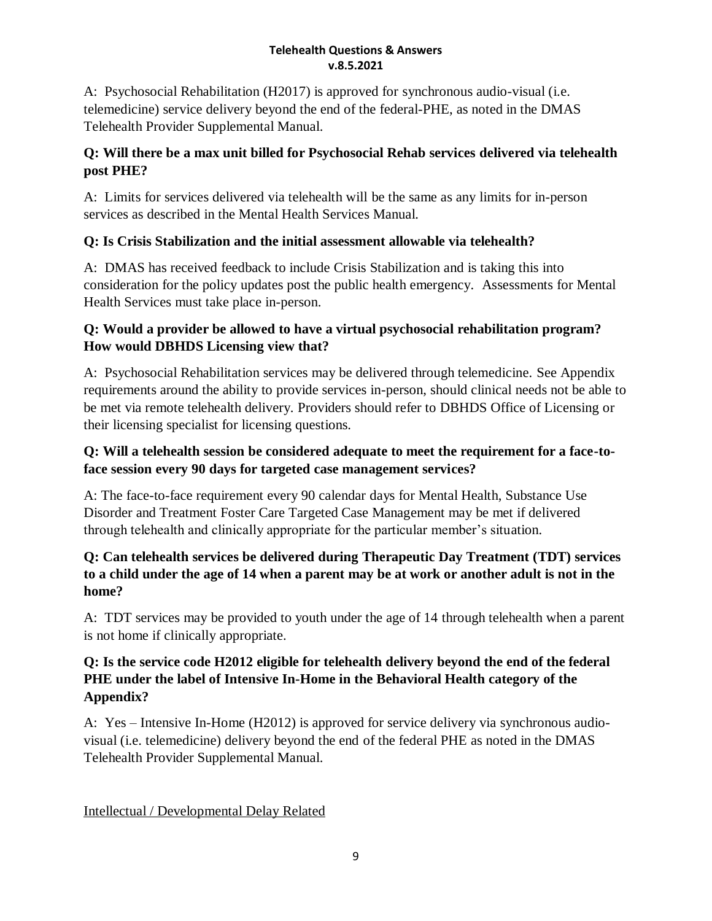A: Psychosocial Rehabilitation (H2017) is approved for synchronous audio-visual (i.e. telemedicine) service delivery beyond the end of the federal-PHE, as noted in the DMAS Telehealth Provider Supplemental Manual.

# **Q: Will there be a max unit billed for Psychosocial Rehab services delivered via telehealth post PHE?**

A: Limits for services delivered via telehealth will be the same as any limits for in-person services as described in the Mental Health Services Manual.

# **Q: Is Crisis Stabilization and the initial assessment allowable via telehealth?**

A: DMAS has received feedback to include Crisis Stabilization and is taking this into consideration for the policy updates post the public health emergency. Assessments for Mental Health Services must take place in-person.

# **Q: Would a provider be allowed to have a virtual psychosocial rehabilitation program? How would DBHDS Licensing view that?**

A: Psychosocial Rehabilitation services may be delivered through telemedicine. See Appendix requirements around the ability to provide services in-person, should clinical needs not be able to be met via remote telehealth delivery. Providers should refer to DBHDS Office of Licensing or their licensing specialist for licensing questions.

# **Q: Will a telehealth session be considered adequate to meet the requirement for a face-toface session every 90 days for targeted case management services?**

A: The face-to-face requirement every 90 calendar days for Mental Health, Substance Use Disorder and Treatment Foster Care Targeted Case Management may be met if delivered through telehealth and clinically appropriate for the particular member's situation.

# **Q: Can telehealth services be delivered during Therapeutic Day Treatment (TDT) services to a child under the age of 14 when a parent may be at work or another adult is not in the home?**

A: TDT services may be provided to youth under the age of 14 through telehealth when a parent is not home if clinically appropriate.

# **Q: Is the service code H2012 eligible for telehealth delivery beyond the end of the federal PHE under the label of Intensive In-Home in the Behavioral Health category of the Appendix?**

A: Yes – Intensive In-Home (H2012) is approved for service delivery via synchronous audiovisual (i.e. telemedicine) delivery beyond the end of the federal PHE as noted in the DMAS Telehealth Provider Supplemental Manual.

Intellectual / Developmental Delay Related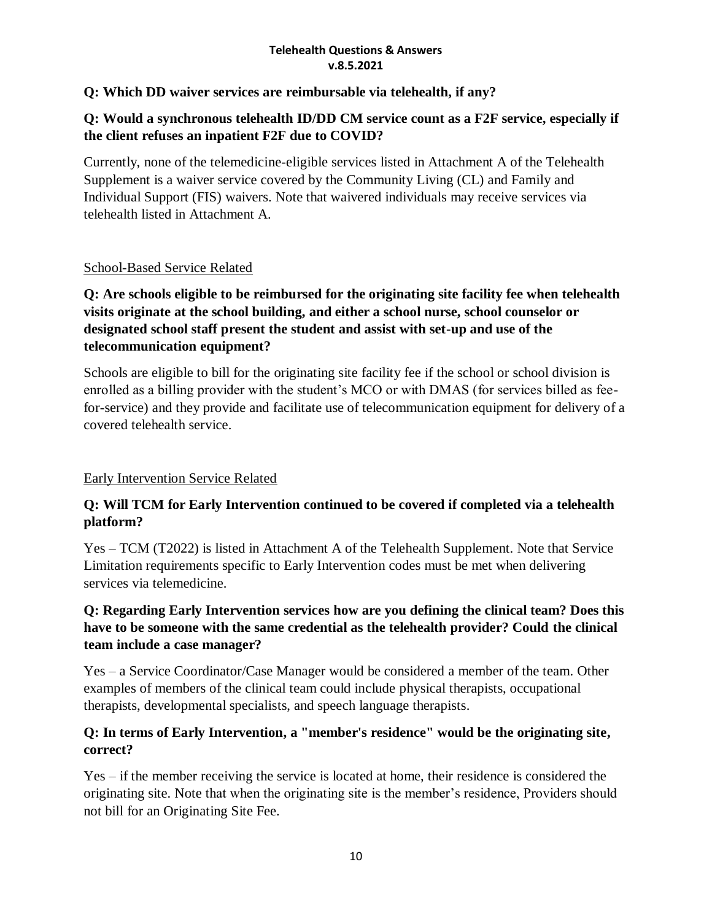#### **Q: Which DD waiver services are reimbursable via telehealth, if any?**

#### **Q: Would a synchronous telehealth ID/DD CM service count as a F2F service, especially if the client refuses an inpatient F2F due to COVID?**

Currently, none of the telemedicine-eligible services listed in Attachment A of the Telehealth Supplement is a waiver service covered by the Community Living (CL) and Family and Individual Support (FIS) waivers. Note that waivered individuals may receive services via telehealth listed in Attachment A.

#### School-Based Service Related

#### **Q: Are schools eligible to be reimbursed for the originating site facility fee when telehealth visits originate at the school building, and either a school nurse, school counselor or designated school staff present the student and assist with set-up and use of the telecommunication equipment?**

Schools are eligible to bill for the originating site facility fee if the school or school division is enrolled as a billing provider with the student's MCO or with DMAS (for services billed as feefor-service) and they provide and facilitate use of telecommunication equipment for delivery of a covered telehealth service.

## Early Intervention Service Related

## **Q: Will TCM for Early Intervention continued to be covered if completed via a telehealth platform?**

Yes – TCM (T2022) is listed in Attachment A of the Telehealth Supplement. Note that Service Limitation requirements specific to Early Intervention codes must be met when delivering services via telemedicine.

#### **Q: Regarding Early Intervention services how are you defining the clinical team? Does this have to be someone with the same credential as the telehealth provider? Could the clinical team include a case manager?**

Yes – a Service Coordinator/Case Manager would be considered a member of the team. Other examples of members of the clinical team could include physical therapists, occupational therapists, developmental specialists, and speech language therapists.

#### **Q: In terms of Early Intervention, a "member's residence" would be the originating site, correct?**

Yes – if the member receiving the service is located at home, their residence is considered the originating site. Note that when the originating site is the member's residence, Providers should not bill for an Originating Site Fee.